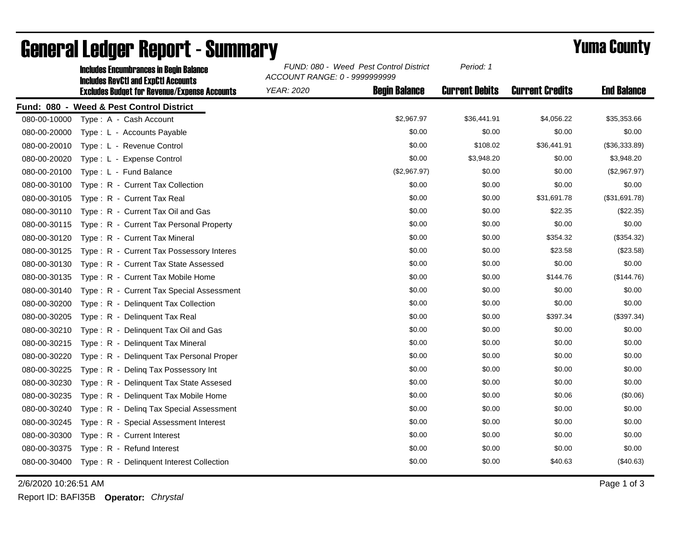|              | <b>Includes Encumbrances in Begin Balance</b><br><b>Includes RevCtI and ExpCtI Accounts</b><br><b>Excludes Budget for Revenue/Expense Accounts</b> | FUND: 080 - Weed Pest Control District<br>ACCOUNT RANGE: 0 - 9999999999 |                      | Period: 1             |                        |                    |
|--------------|----------------------------------------------------------------------------------------------------------------------------------------------------|-------------------------------------------------------------------------|----------------------|-----------------------|------------------------|--------------------|
|              |                                                                                                                                                    | <b>YEAR: 2020</b>                                                       | <b>Beain Balance</b> | <b>Current Debits</b> | <b>Current Credits</b> | <b>End Balance</b> |
|              | Fund: 080 - Weed & Pest Control District                                                                                                           |                                                                         |                      |                       |                        |                    |
| 080-00-10000 | Type: A - Cash Account                                                                                                                             |                                                                         | \$2,967.97           | \$36,441.91           | \$4,056.22             | \$35,353.66        |
| 080-00-20000 | Type: L - Accounts Payable                                                                                                                         |                                                                         | \$0.00               | \$0.00                | \$0.00                 | \$0.00             |
| 080-00-20010 | Type: L - Revenue Control                                                                                                                          |                                                                         | \$0.00               | \$108.02              | \$36,441.91            | (\$36,333.89)      |
| 080-00-20020 | Type: L - Expense Control                                                                                                                          |                                                                         | \$0.00               | \$3,948.20            | \$0.00                 | \$3,948.20         |
| 080-00-20100 | Type: L - Fund Balance                                                                                                                             |                                                                         | (\$2,967.97)         | \$0.00                | \$0.00                 | (\$2,967.97)       |
| 080-00-30100 | Type: R - Current Tax Collection                                                                                                                   |                                                                         | \$0.00               | \$0.00                | \$0.00                 | \$0.00             |
| 080-00-30105 | Type: R - Current Tax Real                                                                                                                         |                                                                         | \$0.00               | \$0.00                | \$31,691.78            | (\$31,691.78)      |
| 080-00-30110 | Type: R - Current Tax Oil and Gas                                                                                                                  |                                                                         | \$0.00               | \$0.00                | \$22.35                | (\$22.35)          |
| 080-00-30115 | Type: R - Current Tax Personal Property                                                                                                            |                                                                         | \$0.00               | \$0.00                | \$0.00                 | \$0.00             |
| 080-00-30120 | Type: R - Current Tax Mineral                                                                                                                      |                                                                         | \$0.00               | \$0.00                | \$354.32               | (\$354.32)         |
| 080-00-30125 | Type: R - Current Tax Possessory Interes                                                                                                           |                                                                         | \$0.00               | \$0.00                | \$23.58                | (\$23.58)          |
| 080-00-30130 | Type: R - Current Tax State Assessed                                                                                                               |                                                                         | \$0.00               | \$0.00                | \$0.00                 | \$0.00             |
| 080-00-30135 | Type: R - Current Tax Mobile Home                                                                                                                  |                                                                         | \$0.00               | \$0.00                | \$144.76               | (\$144.76)         |
| 080-00-30140 | Type: R - Current Tax Special Assessment                                                                                                           |                                                                         | \$0.00               | \$0.00                | \$0.00                 | \$0.00             |
| 080-00-30200 | Type: R - Delinquent Tax Collection                                                                                                                |                                                                         | \$0.00               | \$0.00                | \$0.00                 | \$0.00             |
| 080-00-30205 | Type: R - Delinquent Tax Real                                                                                                                      |                                                                         | \$0.00               | \$0.00                | \$397.34               | (\$397.34)         |
| 080-00-30210 | Type: R - Delinquent Tax Oil and Gas                                                                                                               |                                                                         | \$0.00               | \$0.00                | \$0.00                 | \$0.00             |
| 080-00-30215 | Type: R - Delinquent Tax Mineral                                                                                                                   |                                                                         | \$0.00               | \$0.00                | \$0.00                 | \$0.00             |
| 080-00-30220 | Type: R - Delinquent Tax Personal Proper                                                                                                           |                                                                         | \$0.00               | \$0.00                | \$0.00                 | \$0.00             |
| 080-00-30225 | Type: R - Deling Tax Possessory Int                                                                                                                |                                                                         | \$0.00               | \$0.00                | \$0.00                 | \$0.00             |
| 080-00-30230 | Type: R - Delinguent Tax State Assesed                                                                                                             |                                                                         | \$0.00               | \$0.00                | \$0.00                 | \$0.00             |
| 080-00-30235 | Type: R - Delinquent Tax Mobile Home                                                                                                               |                                                                         | \$0.00               | \$0.00                | \$0.06                 | (\$0.06)           |
| 080-00-30240 | Type: R - Deling Tax Special Assessment                                                                                                            |                                                                         | \$0.00               | \$0.00                | \$0.00                 | \$0.00             |
| 080-00-30245 | Type: R - Special Assessment Interest                                                                                                              |                                                                         | \$0.00               | \$0.00                | \$0.00                 | \$0.00             |
| 080-00-30300 | Type: R - Current Interest                                                                                                                         |                                                                         | \$0.00               | \$0.00                | \$0.00                 | \$0.00             |
| 080-00-30375 | Type: R - Refund Interest                                                                                                                          |                                                                         | \$0.00               | \$0.00                | \$0.00                 | \$0.00             |
|              | 080-00-30400 Type: R - Delinquent Interest Collection                                                                                              |                                                                         | \$0.00               | \$0.00                | \$40.63                | (\$40.63)          |

## General Ledger Report - Summary **Example 2018** Yuma County

2/6/2020 10:26:51 AM Page 1 of 3

Report ID: BAFI35B **Operator:** *Chrystal*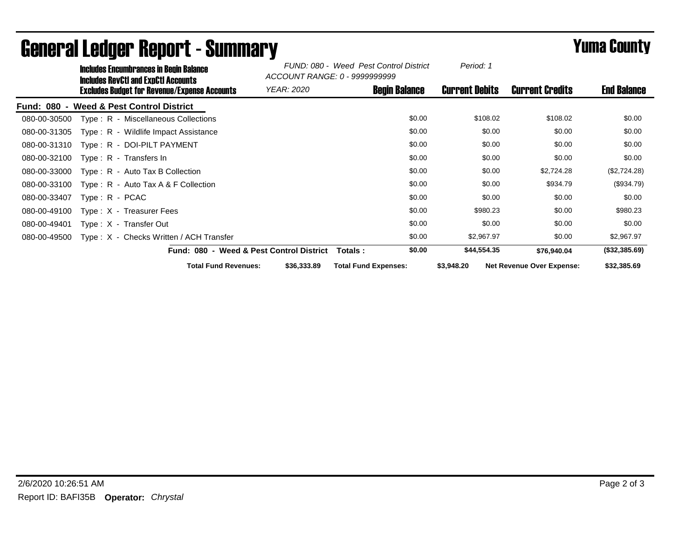|              | Includes Encumbrances in Begin Balance<br><b>Includes RevCtI and ExpCtI Accounts</b><br><b>Excludes Budget for Revenue/Expense Accounts</b> |                                         | FUND: 080 - Weed Pest Control District<br>ACCOUNT RANGE: 0 - 9999999999 | Period: 1                   |                        |                                  |               |
|--------------|---------------------------------------------------------------------------------------------------------------------------------------------|-----------------------------------------|-------------------------------------------------------------------------|-----------------------------|------------------------|----------------------------------|---------------|
|              |                                                                                                                                             | <b>YEAR: 2020</b>                       | <b>Begin Balance</b>                                                    | <b>Current Debits</b>       | <b>Current Credits</b> | <b>End Balance</b>               |               |
| Fund: 080 -  |                                                                                                                                             | <b>Weed &amp; Pest Control District</b> |                                                                         |                             |                        |                                  |               |
| 080-00-30500 |                                                                                                                                             | Type: R - Miscellaneous Collections     |                                                                         | \$0.00                      | \$108.02               | \$108.02                         | \$0.00        |
| 080-00-31305 |                                                                                                                                             | Type: R - Wildlife Impact Assistance    |                                                                         | \$0.00                      | \$0.00                 | \$0.00                           | \$0.00        |
| 080-00-31310 |                                                                                                                                             | Type: R - DOI-PILT PAYMENT              |                                                                         | \$0.00                      | \$0.00                 | \$0.00                           | \$0.00        |
| 080-00-32100 |                                                                                                                                             | Type: $R -$ Transfers In                |                                                                         | \$0.00                      | \$0.00                 | \$0.00                           | \$0.00        |
| 080-00-33000 |                                                                                                                                             | $Type: R - Auto Tax B Collection$       |                                                                         | \$0.00                      | \$0.00                 | \$2,724.28                       | (\$2,724.28)  |
| 080-00-33100 |                                                                                                                                             | Type: R - Auto Tax A & F Collection     |                                                                         | \$0.00                      | \$0.00                 | \$934.79                         | (\$934.79)    |
| 080-00-33407 | $Type: R - PCAC$                                                                                                                            |                                         |                                                                         | \$0.00                      | \$0.00                 | \$0.00                           | \$0.00        |
| 080-00-49100 |                                                                                                                                             | Type $: X - T$ reasurer Fees            |                                                                         | \$0.00                      | \$980.23               | \$0.00                           | \$980.23      |
| 080-00-49401 |                                                                                                                                             | Type: X - Transfer Out                  |                                                                         | \$0.00                      | \$0.00                 | \$0.00                           | \$0.00        |
| 080-00-49500 |                                                                                                                                             | Type: X - Checks Written / ACH Transfer |                                                                         | \$0.00                      | \$2,967.97             | \$0.00                           | \$2,967.97    |
|              |                                                                                                                                             |                                         | Fund: 080 - Weed & Pest Control District                                | \$0.00<br>Totals :          | \$44,554.35            | \$76,940.04                      | (\$32,385.69) |
|              |                                                                                                                                             | <b>Total Fund Revenues:</b>             | \$36,333.89                                                             | <b>Total Fund Expenses:</b> | \$3,948.20             | <b>Net Revenue Over Expense:</b> | \$32,385.69   |

## General Ledger Report - Summary **Example 2018** Yuma County